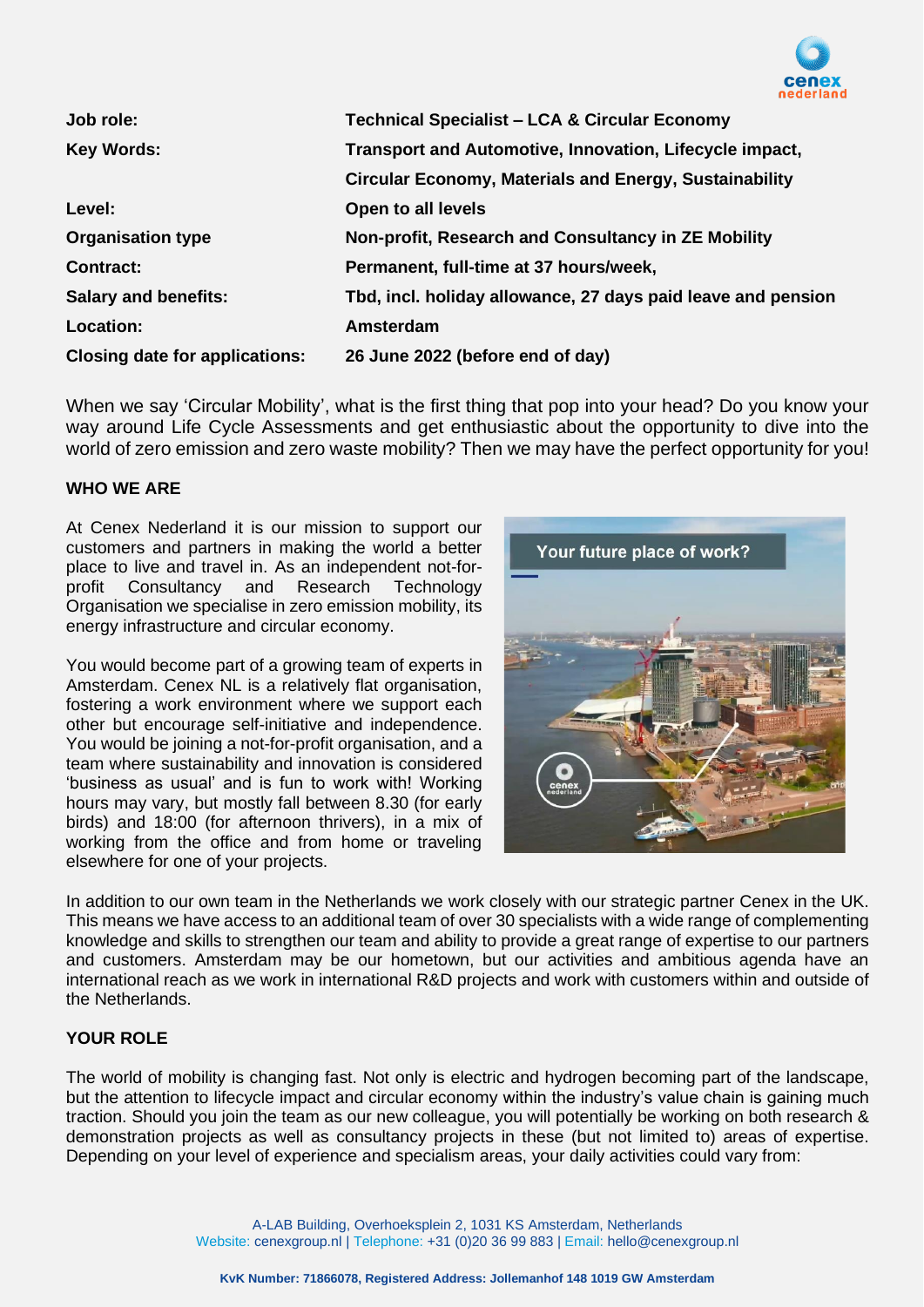

| Job role:                             | <b>Technical Specialist - LCA &amp; Circular Economy</b>      |
|---------------------------------------|---------------------------------------------------------------|
| <b>Key Words:</b>                     | Transport and Automotive, Innovation, Lifecycle impact,       |
|                                       | <b>Circular Economy, Materials and Energy, Sustainability</b> |
| Level:                                | Open to all levels                                            |
| <b>Organisation type</b>              | Non-profit, Research and Consultancy in ZE Mobility           |
| <b>Contract:</b>                      | Permanent, full-time at 37 hours/week,                        |
| <b>Salary and benefits:</b>           | Tbd, incl. holiday allowance, 27 days paid leave and pension  |
| Location:                             | Amsterdam                                                     |
| <b>Closing date for applications:</b> | 26 June 2022 (before end of day)                              |

When we say 'Circular Mobility', what is the first thing that pop into your head? Do you know your way around Life Cycle Assessments and get enthusiastic about the opportunity to dive into the world of zero emission and zero waste mobility? Then we may have the perfect opportunity for you!

### **WHO WE ARE**

At Cenex Nederland it is our mission to support our customers and partners in making the world a better place to live and travel in. As an independent not-forprofit Consultancy and Research Technology Organisation we specialise in zero emission mobility, its energy infrastructure and circular economy.

You would become part of a growing team of experts in Amsterdam. Cenex NL is a relatively flat organisation, fostering a work environment where we support each other but encourage self-initiative and independence. You would be joining a not-for-profit organisation, and a team where sustainability and innovation is considered 'business as usual' and is fun to work with! Working hours may vary, but mostly fall between 8.30 (for early birds) and 18:00 (for afternoon thrivers), in a mix of working from the office and from home or traveling elsewhere for one of your projects.



In addition to our own team in the Netherlands we work closely with our strategic partner Cenex in the UK. This means we have access to an additional team of over 30 specialists with a wide range of complementing knowledge and skills to strengthen our team and ability to provide a great range of expertise to our partners and customers. Amsterdam may be our hometown, but our activities and ambitious agenda have an international reach as we work in international R&D projects and work with customers within and outside of the Netherlands.

### **YOUR ROLE**

The world of mobility is changing fast. Not only is electric and hydrogen becoming part of the landscape, but the attention to lifecycle impact and circular economy within the industry's value chain is gaining much traction. Should you join the team as our new colleague, you will potentially be working on both research & demonstration projects as well as consultancy projects in these (but not limited to) areas of expertise. Depending on your level of experience and specialism areas, your daily activities could vary from: